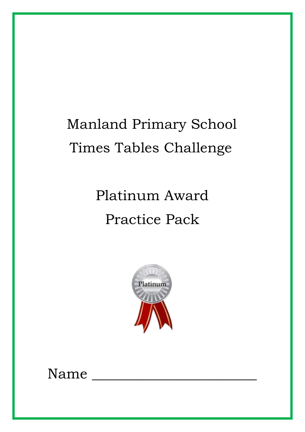## Manland Primary School Times Tables Challenge

# Platinum Award Practice Pack



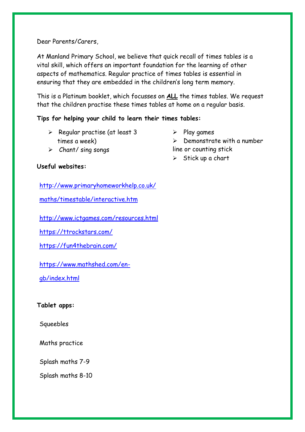Dear Parents/Carers,

At Manland Primary School, we believe that quick recall of times tables is a vital skill, which offers an important foundation for the learning of other aspects of mathematics. Regular practice of times tables is essential in ensuring that they are embedded in the children's long term memory.

This is a Platinum booklet, which focusses on **ALL** the times tables. We request that the children practise these times tables at home on a regular basis.

#### **Tips for helping your child to learn their times tables:**

- $\triangleright$  Regular practise (at least 3 times a week)
- $\triangleright$  Play games

 $\triangleright$  Stick up a chart

 $\triangleright$  Demonstrate with a number line or counting stick

➢ Chant/ sing songs

#### **Useful websites:**

[http://www.primaryhomeworkhelp.co.uk/](http://www.primaryhomeworkhelp.co.uk/maths/timestable/interactive.htm)

[maths/timestable/interactive.htm](http://www.primaryhomeworkhelp.co.uk/maths/timestable/interactive.htm)

<http://www.ictgames.com/resources.html>

<https://ttrockstars.com/>

<https://fun4thebrain.com/>

[https://www.mathshed.com/en-](https://www.mathshed.com/en-gb/index.html)

[gb/index.html](https://www.mathshed.com/en-gb/index.html)

**Tablet apps:**

Squeebles

Maths practice

Splash maths 7-9

Splash maths 8-10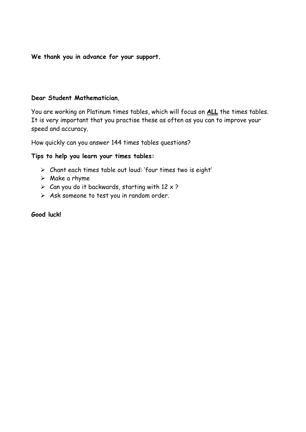**We thank you in advance for your support.**

#### **Dear Student Mathematician**,

You are working on Platinum times tables, which will focus on **ALL** the times tables. It is very important that you practise these as often as you can to improve your speed and accuracy.

How quickly can you answer 144 times tables questions?

#### **Tips to help you learn your times tables:**

- ➢ Chant each times table out loud: 'four times two is eight'
- $\triangleright$  Make a rhyme
- $\triangleright$  Can you do it backwards, starting with 12 x ?
- ➢ Ask someone to test you in random order.

**Good luck!**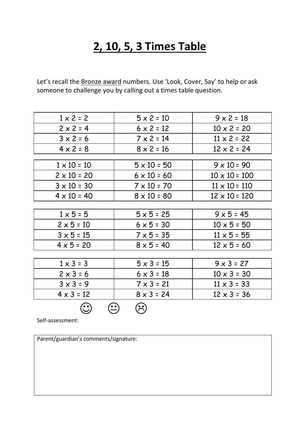### **2, 10, 5, 3 Times Table**

Let's recall the Bronze award numbers. Use 'Look, Cover, Say' to help or ask someone to challenge you by calling out a times table question.

| $1 \times 2 = 2$   | $5 \times 2 = 10$  | $9 \times 2 = 18$    |
|--------------------|--------------------|----------------------|
| $2 \times 2 = 4$   | $6 \times 2 = 12$  | $10 \times 2 = 20$   |
| $3 \times 2 = 6$   | $7 \times 2 = 14$  | $11 \times 2 = 22$   |
| $4 \times 2 = 8$   | $8 \times 2 = 16$  | $12 \times 2 = 24$   |
|                    |                    |                      |
| $1 \times 10 = 10$ | $5 \times 10 = 50$ | $9 \times 10 = 90$   |
| $2 \times 10 = 20$ | $6 \times 10 = 60$ | $10 \times 10 = 100$ |
| $3 \times 10 = 30$ | $7 \times 10 = 70$ | $11 \times 10 = 110$ |
| $4 \times 10 = 40$ | $8 \times 10 = 80$ | $12 \times 10 = 120$ |
|                    |                    |                      |
| $1 \times 5 = 5$   | $5 \times 5 = 25$  | $9 \times 5 = 45$    |
| $2 \times 5 = 10$  | $6 \times 5 = 30$  | $10 \times 5 = 50$   |
| $3 × 5 = 15$       | $7 \times 5 = 35$  | $11 \times 5 = 55$   |
| $4 \times 5 = 20$  | $8 \times 5 = 40$  | $12 \times 5 = 60$   |
|                    |                    |                      |
| $1 \times 3 = 3$   | $5 \times 3 = 15$  | $9 \times 3 = 27$    |
| $2 \times 3 = 6$   | $6 \times 3 = 18$  | $10 \times 3 = 30$   |
| $3 \times 3 = 9$   | $7 \times 3 = 21$  | $11 \times 3 = 33$   |
| $4 \times 3 = 12$  | $8 \times 3 = 24$  | $12 \times 3 = 36$   |
|                    |                    |                      |

Self-assessment:

Parent/guardian's comments/signature: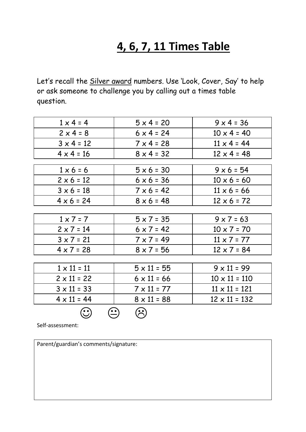### **4, 6, 7, 11 Times Table**

Let's recall the **Silver award numbers**. Use 'Look, Cover, Say' to help or ask someone to challenge you by calling out a times table question.

| $1 \times 4 = 4$   | $5 \times 4 = 20$  | $9 \times 4 = 36$    |
|--------------------|--------------------|----------------------|
| $2 \times 4 = 8$   | $6 \times 4 = 24$  | $10 \times 4 = 40$   |
| $3 \times 4 = 12$  | $7 \times 4 = 28$  | $11 \times 4 = 44$   |
| $4 \times 4 = 16$  | $8 \times 4 = 32$  | $12 \times 4 = 48$   |
|                    |                    |                      |
| $1 \times 6 = 6$   | $5 \times 6 = 30$  | $9 \times 6 = 54$    |
| $2 \times 6 = 12$  | $6 \times 6 = 36$  | $10 \times 6 = 60$   |
| $3 \times 6 = 18$  | $7 × 6 = 42$       | $11 \times 6 = 66$   |
| $4 \times 6 = 24$  | $8 \times 6 = 48$  | $12 \times 6 = 72$   |
|                    |                    |                      |
| $1 \times 7 = 7$   | $5 \times 7 = 35$  | $9 \times 7 = 63$    |
| $2 \times 7 = 14$  | $6 \times 7 = 42$  | $10 \times 7 = 70$   |
| $3 \times 7 = 21$  | $7 \times 7 = 49$  | $11 \times 7 = 77$   |
| $4 \times 7 = 28$  | $8 \times 7 = 56$  | $12 \times 7 = 84$   |
|                    |                    |                      |
| $1 \times 11 = 11$ | $5 \times 11 = 55$ | $9 \times 11 = 99$   |
| $2 \times 11 = 22$ | $6 \times 11 = 66$ | $10 \times 11 = 110$ |
| $3 \times 11 = 33$ | $7 \times 11 = 77$ | $11 \times 11 = 121$ |
| $4 \times 11 = 44$ | $8 \times 11 = 88$ | $12 \times 11 = 132$ |
|                    |                    |                      |

Self-assessment:

Parent/guardian's comments/signature: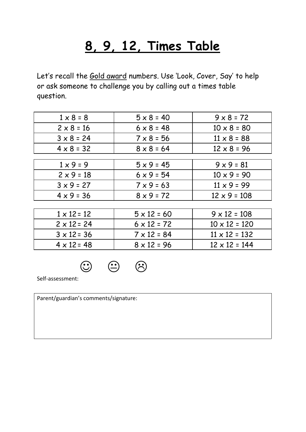## **8, 9, 12, Times Table**

Let's recall the Gold award numbers. Use 'Look, Cover, Say' to help or ask someone to challenge you by calling out a times table question.

| $1 \times 8 = 8$   | $5 \times 8 = 40$  | $9 \times 8 = 72$    |
|--------------------|--------------------|----------------------|
| $2 \times 8 = 16$  | $6 \times 8 = 48$  | $10 \times 8 = 80$   |
| $3 \times 8 = 24$  | $7 \times 8 = 56$  | $11 \times 8 = 88$   |
| $4 \times 8 = 32$  | $8 \times 8 = 64$  | $12 \times 8 = 96$   |
|                    |                    |                      |
| $1 \times 9 = 9$   | $5 \times 9 = 45$  | $9 \times 9 = 81$    |
| $2 \times 9 = 18$  | $6 \times 9 = 54$  | $10 \times 9 = 90$   |
| $3 \times 9 = 27$  | $7 \times 9 = 63$  | $11 \times 9 = 99$   |
| $4 \times 9 = 36$  | $8 \times 9 = 72$  | $12 \times 9 = 108$  |
|                    |                    |                      |
| $1 \times 12 = 12$ | $5 \times 12 = 60$ | $9 \times 12 = 108$  |
| $2 \times 12 = 24$ | $6 \times 12 = 72$ | $10 \times 12 = 120$ |
| $3 \times 12 = 36$ | $7 \times 12 = 84$ | $11 \times 12 = 132$ |
| $4 \times 12 = 48$ | $8 \times 12 = 96$ | $12 \times 12 = 144$ |

 $\odot$   $\odot$ 

Self-assessment:

Parent/guardian's comments/signature: